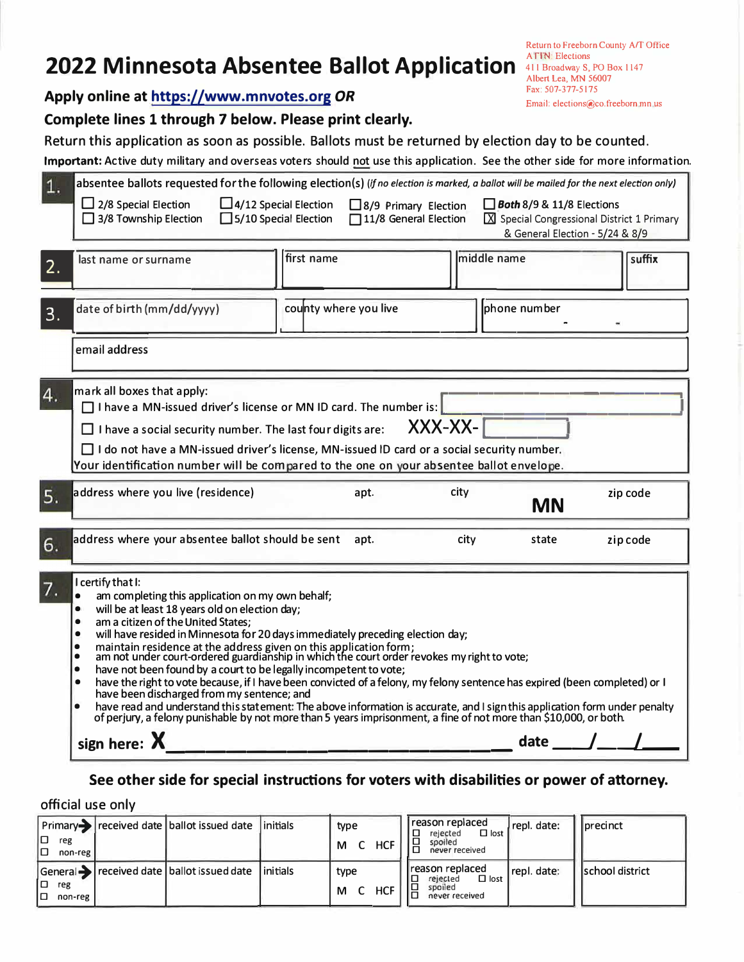# **2022 Minnesota Absentee Ballot Application** ATIN: Elections

**Apply online at https://www.mnvotes.org** *OR*

## **Complete lines 1 through 7 below. Please print clearly.**

Return this application as soon as possible. Ballots must be returned by election day to be counted.

**Important:** Active duty military and overseas voters should not use this application. See the other side for more information.

| 1. | absentee ballots requested for the following election(s) (if no election is marked, a ballot will be mailed for the next election only)<br>$\Box$ 2/8 Special Election<br>$\Box$ 4/12 Special Election<br>$\Box$ Both 8/9 & 11/8 Elections<br>$\Box$ 8/9 Primary Election<br>11/8 General Election<br>X Special Congressional District 1 Primary<br>$\Box$ 3/8 Township Election<br>$\Box$ 5/10 Special Election<br>& General Election - 5/24 & 8/9                                                                                                                                                                                                                                                                                                                                                                                                                                                                                                                                                                            |  |  |  |  |  |
|----|--------------------------------------------------------------------------------------------------------------------------------------------------------------------------------------------------------------------------------------------------------------------------------------------------------------------------------------------------------------------------------------------------------------------------------------------------------------------------------------------------------------------------------------------------------------------------------------------------------------------------------------------------------------------------------------------------------------------------------------------------------------------------------------------------------------------------------------------------------------------------------------------------------------------------------------------------------------------------------------------------------------------------------|--|--|--|--|--|
| 2. | first name<br>middle name<br>suffix<br>last name or surname                                                                                                                                                                                                                                                                                                                                                                                                                                                                                                                                                                                                                                                                                                                                                                                                                                                                                                                                                                    |  |  |  |  |  |
| 3. | phone number<br>county where you live<br>date of birth (mm/dd/yyyy)                                                                                                                                                                                                                                                                                                                                                                                                                                                                                                                                                                                                                                                                                                                                                                                                                                                                                                                                                            |  |  |  |  |  |
|    | email address                                                                                                                                                                                                                                                                                                                                                                                                                                                                                                                                                                                                                                                                                                                                                                                                                                                                                                                                                                                                                  |  |  |  |  |  |
| 4. | mark all boxes that apply:<br>$\Box$ I have a MN-issued driver's license or MN ID card. The number is:<br>XXX-XX-<br>$\Box$ I have a social security number. The last four digits are:<br>$\Box$ I do not have a MN-issued driver's license, MN-issued ID card or a social security number.<br>Your identification number will be compared to the one on your absentee ballot envelope.                                                                                                                                                                                                                                                                                                                                                                                                                                                                                                                                                                                                                                        |  |  |  |  |  |
| 5. | address where you live (residence)<br>city<br>apt.<br>zip code<br><b>MN</b>                                                                                                                                                                                                                                                                                                                                                                                                                                                                                                                                                                                                                                                                                                                                                                                                                                                                                                                                                    |  |  |  |  |  |
| 6. | address where your absentee ballot should be sent<br>zip code<br>apt.<br>city<br>state                                                                                                                                                                                                                                                                                                                                                                                                                                                                                                                                                                                                                                                                                                                                                                                                                                                                                                                                         |  |  |  |  |  |
| 7. | I certify that I:<br>am completing this application on my own behalf;<br>$\bullet$<br>will be at least 18 years old on election day;<br>$\bullet$<br>am a citizen of the United States;<br>$\bullet$<br>will have resided in Minnesota for 20 days immediately preceding election day;<br>$\bullet$<br>maintain residence at the address given on this application form;<br>am not under court-ordered guardianship in which the court order revokes my right to vote;<br>$\bullet$<br>$\bullet$<br>have not been found by a court to be legally incompetent to vote;<br>$\bullet$<br>have the right to vote because, if I have been convicted of a felony, my felony sentence has expired (been completed) or I<br>$\bullet$<br>have been discharged from my sentence; and<br>have read and understand this statement: The above information is accurate, and I sign this application form under penalty<br>of perjury, a felony punishable by not more than 5 years imprisonment, a fine of not more than \$10,000, or both. |  |  |  |  |  |
|    | date $\_\_\_\_\_\_\_\_\_\$<br>sign here: $\lambda$                                                                                                                                                                                                                                                                                                                                                                                                                                                                                                                                                                                                                                                                                                                                                                                                                                                                                                                                                                             |  |  |  |  |  |

## **See other side for special instructions for voters with disabilities or power of attorney.**

official use only

| ום ו<br>reg<br>םו<br>non-reg  | Primary received date   ballot issued date   initials                                        | type<br><b>HCF</b><br>C<br>M | reason replaced<br>repl. date:<br><b>I</b> precinct<br>$\Box$ lost<br>rejected<br>spoiled<br>never received              |
|-------------------------------|----------------------------------------------------------------------------------------------|------------------------------|--------------------------------------------------------------------------------------------------------------------------|
| ו סו<br>reg<br>lo.<br>non-reg | $\Box$ General $\blacktriangleright$ received date $\Box$ ballot issued date $\Box$ initials | type<br><b>HCF</b><br>M      | I reason replaced<br>repl. date:<br>Ischool district<br>$\Box$ lost<br>IO<br>rejected<br>18<br>spoiled<br>never received |